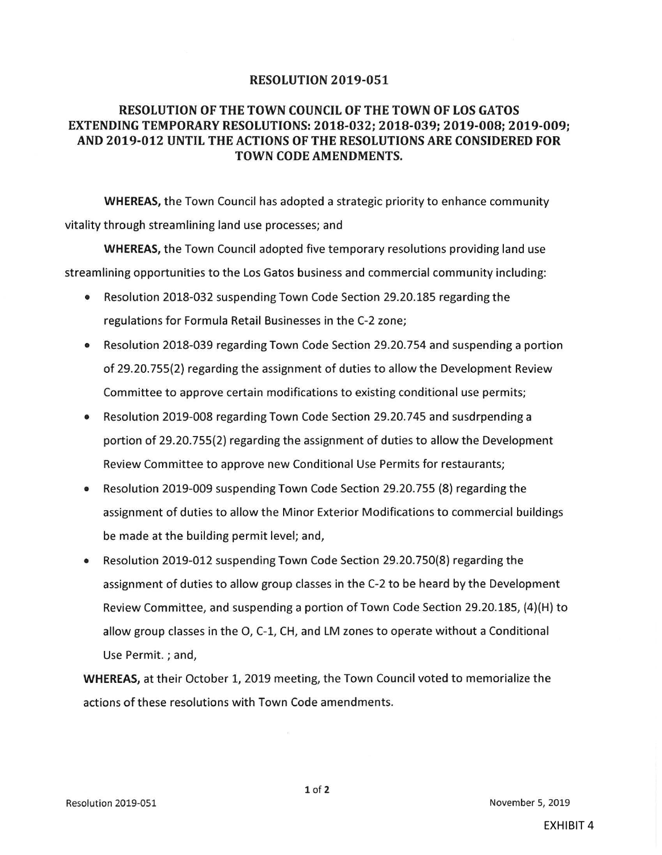## **RESOLUTION 2019-051**

## RESOLUTION OF THE TOWN COUNCIL OF THE TOWN OF LOS GATOS EXTENDING TEMPORARY RESOLUTIONS: 2018- 032; 2018- 039; 2019- 008; 2019- 009; AND 2019-012 UNTIL THE ACTIONS OF THE RESOLUTIONS ARE CONSIDERED FOR TOWN CODE AMENDMENTS.

WHEREAS, the Town Council has adopted <sup>a</sup> strategic priority to enhance community vitality through streamlining land use processes; and

WHEREAS, the Town Council adopted five temporary resolutions providing land use streamlining opportunities to the Los Gatos business and commercial community including:

- Resolution 2018-032 suspending Town Code Section 29.20.185 regarding the  $\bullet$ regulations for Formula Retail Businesses in the C-2 zone;
- Resolution 2018-039 regarding Town Code Section 29. 20. 754 and suspending <sup>a</sup> portion of 29. 20. 755( 2) regarding the assignment of duties to allow the Development Review Committee to approve certain modifications to existing conditional use permits;
- Resolution 2019-008 regarding Town Code Section 29. 20.745 and susdrpending a portion of 29.20.755(2) regarding the assignment of duties to allow the Development Review Committee to approve new Conditional Use Permits for restaurants;
- Resolution 2019-009 suspending Town Code Section 29.20.755 (8) regarding the  $\bullet$ assignment of duties to allow the Minor Exterior Modifications to commercial buildings be made at the building permit level; and,
- Resolution 2019-012 suspending Town Code Section 29.20.750(8) regarding the  $\bullet$ assignment of duties to allow group classes in the C-2 to be heard by the Development Review Committee, and suspending <sup>a</sup> portion of Town Code Section 29. 20. 185, ( 4)( H) to allow group classes in the O, C-1, CH, and LM zones to operate without a Conditional Use Permit. ; and,

WHEREAS, at their October 1, 2019 meeting, the Town Council voted to memorialize the actions of these resolutions with Town Code amendments.